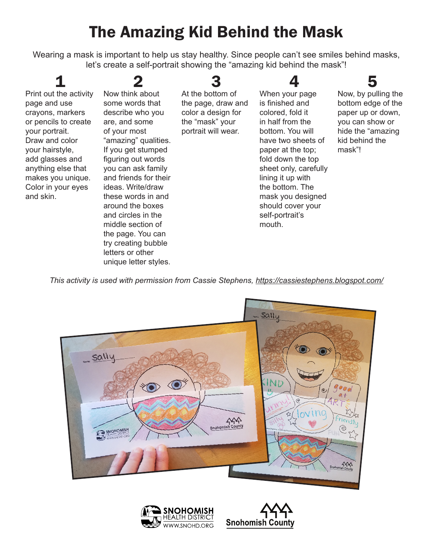## The Amazing Kid Behind the Mask

Wearing a mask is important to help us stay healthy. Since people can't see smiles behind masks, let's create a self-portrait showing the "amazing kid behind the mask"!

1

page and use

your portrait. Draw and color your hairstyle,

and skin.

Print out the activity crayons, markers or pencils to create add glasses and anything else that makes you unique. Color in your eyes 2 Now think about some words that describe who you are, and some of your most "amazing" qualities. If you get stumped figuring out words you can ask family and friends for their ideas. Write/draw these words in and around the boxes and circles in the middle section of the page. You can try creating bubble

> letters or other unique letter styles.

## 3

At the bottom of the page, draw and color a design for the "mask" your portrait will wear.

When your page is finished and colored, fold it in half from the bottom. You will have two sheets of paper at the top; fold down the top sheet only, carefully lining it up with the bottom. The mask you designed should cover your self-portrait's mouth.

4



Now, by pulling the bottom edge of the paper up or down, you can show or hide the "amazing kid behind the mask"!

*This activity is used with permission from Cassie Stephens, https://cassiestephens.blogspot.com/*